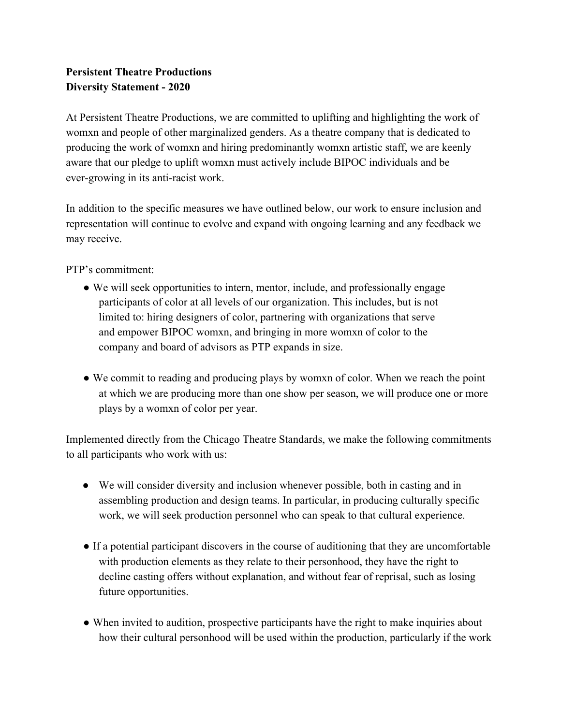## **Persistent Theatre Productions Diversity Statement - 2020**

At Persistent Theatre Productions, we are committed to uplifting and highlighting the work of womxn and people of other marginalized genders. As a theatre company that is dedicated to producing the work of womxn and hiring predominantly womxn artistic staff, we are keenly aware that our pledge to uplift womxn must actively include BIPOC individuals and be ever-growing in its anti-racist work.

In addition to the specific measures we have outlined below, our work to ensure inclusion and representation will continue to evolve and expand with ongoing learning and any feedback we may receive.

PTP's commitment:

- We will seek opportunities to intern, mentor, include, and professionally engage participants of color at all levels of our organization. This includes, but is not limited to: hiring designers of color, partnering with organizations that serve and empower BIPOC womxn, and bringing in more womxn of color to the company and board of advisors as PTP expands in size.
- We commit to reading and producing plays by womxn of color. When we reach the point at which we are producing more than one show per season, we will produce one or more plays by a womxn of color per year.

Implemented directly from the Chicago Theatre Standards, we make the following commitments to all participants who work with us:

- We will consider diversity and inclusion whenever possible, both in casting and in assembling production and design teams. In particular, in producing culturally specific work, we will seek production personnel who can speak to that cultural experience.
- If a potential participant discovers in the course of auditioning that they are uncomfortable with production elements as they relate to their personhood, they have the right to decline casting offers without explanation, and without fear of reprisal, such as losing future opportunities.
- When invited to audition, prospective participants have the right to make inquiries about how their cultural personhood will be used within the production, particularly if the work